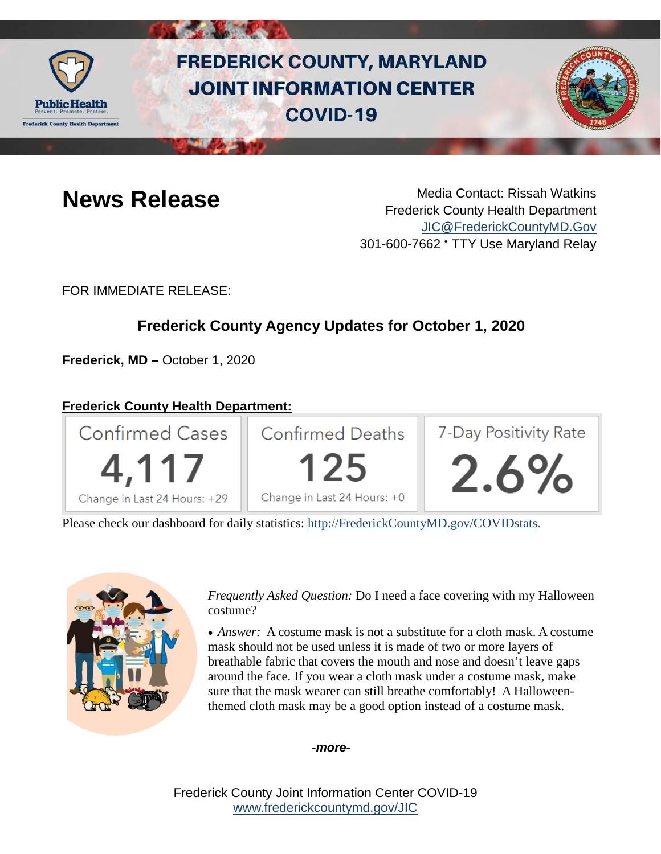

# **FREDERICK COUNTY, MARYLAND JOINT INFORMATION CENTER COVID-19**



**News Release** Media Contact: Rissah Watkins Frederick County Health Department [JIC@FrederickCountyMD.Gov](mailto:JIC@FrederickCountyMD.Gov) 301-600-7662 • TTY Use Maryland Relay

FOR IMMEDIATE RELEASE:

## **Frederick County Agency Updates for October 1, 2020**

**Frederick, MD –** October 1, 2020

#### **Frederick County Health Department:**



Please check our dashboard for daily statistics: [http://FrederickCountyMD.gov/COVIDstats.](http://frederickcountymd.gov/COVIDstats)



*Frequently Asked Question:* Do I need a face covering with my Halloween costume?

• *Answer:* A costume mask is not a substitute for a cloth mask. A costume mask should not be used unless it is made of two or more layers of breathable fabric that covers the mouth and nose and doesn't leave gaps around the face. If you wear a cloth mask under a costume mask, make sure that the mask wearer can still breathe comfortably! A Halloweenthemed cloth mask may be a good option instead of a costume mask.

*-more-*

Frederick County Joint Information Center COVID-19 [www.frederickcountymd.gov/JIC](https://frederickcountymd.gov/JIC)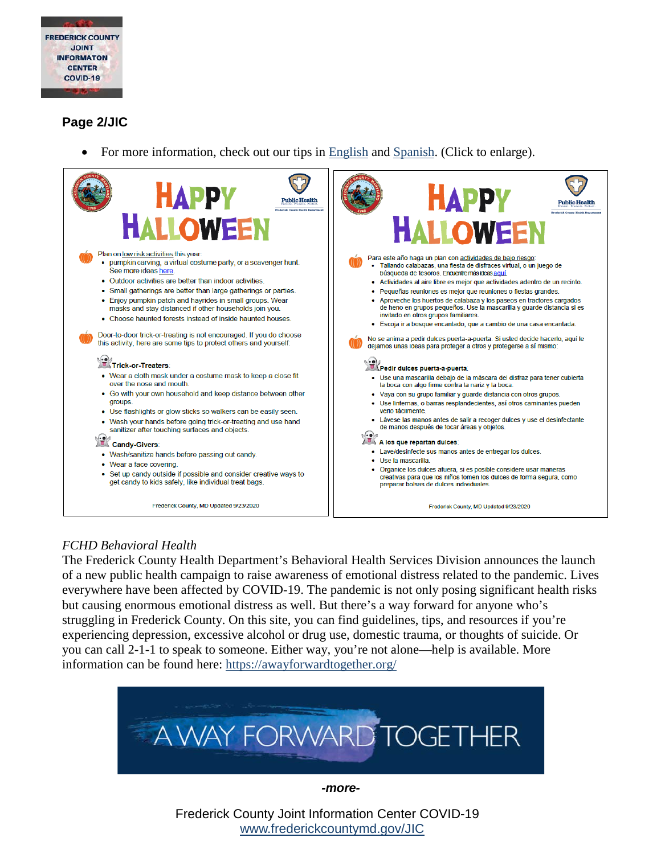

### **Page 2/JIC**

• For more information, check out our tips in [English](https://health.frederickcountymd.gov/DocumentCenter/View/6198/FC-Happy-Halloween-2020) and [Spanish.](https://health.frederickcountymd.gov/DocumentCenter/View/6202/FC-Happy-Halloween-2020---Spanish) (Click to enlarge).



#### *FCHD Behavioral Health*

The Frederick County Health Department's Behavioral Health Services Division announces the launch of a new public health campaign to raise awareness of emotional distress related to the pandemic. Lives everywhere have been affected by COVID-19. The pandemic is not only posing significant health risks but causing enormous emotional distress as well. But there's a way forward for anyone who's struggling in Frederick County. On this site, you can find guidelines, tips, and resources if you're experiencing depression, excessive alcohol or drug use, domestic trauma, or thoughts of suicide. Or you can call 2-1-1 to speak to someone. Either way, you're not alone—help is available. More information can be found here:<https://awayforwardtogether.org/>



*-more-*

Frederick County Joint Information Center COVID-19 [www.frederickcountymd.gov/JIC](https://frederickcountymd.gov/JIC)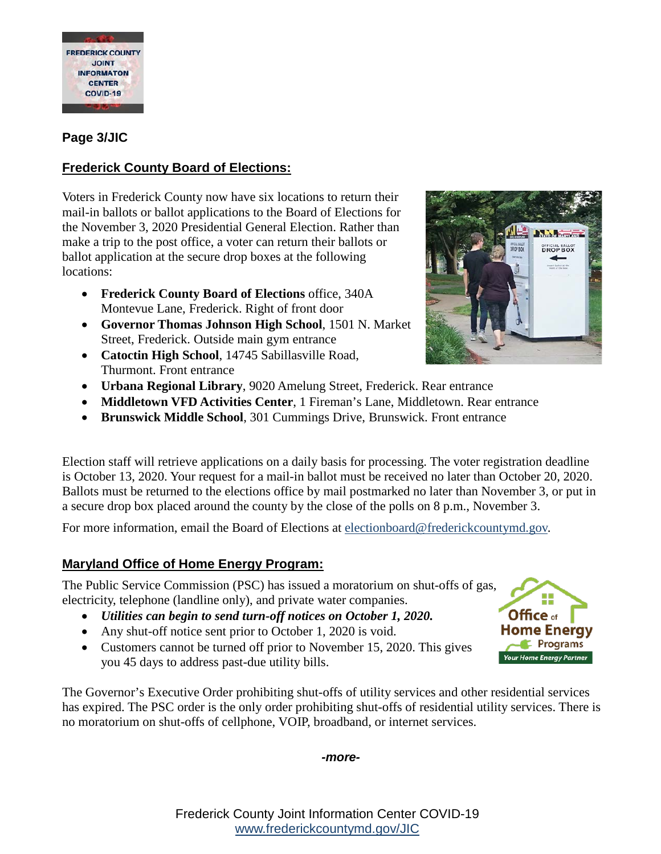

### **Page 3/JIC**

### **Frederick County Board of Elections:**

Voters in Frederick County now have six locations to return their mail-in ballots or ballot applications to the Board of Elections for the November 3, 2020 Presidential General Election. Rather than make a trip to the post office, a voter can return their ballots or ballot application at the secure drop boxes at the following locations:

- **Frederick County Board of Elections** office, 340A Montevue Lane, Frederick. Right of front door
- **Governor Thomas Johnson High School**, 1501 N. Market Street, Frederick. Outside main gym entrance
- **Catoctin High School**, 14745 Sabillasville Road, Thurmont. Front entrance
- **Urbana Regional Library**, 9020 Amelung Street, Frederick. Rear entrance
- **Middletown VFD Activities Center**, 1 Fireman's Lane, Middletown. Rear entrance
- **Brunswick Middle School**, 301 Cummings Drive, Brunswick. Front entrance

Election staff will retrieve applications on a daily basis for processing. The voter registration deadline is October 13, 2020. Your request for a mail-in ballot must be received no later than October 20, 2020. Ballots must be returned to the elections office by mail postmarked no later than November 3, or put in a secure drop box placed around the county by the close of the polls on 8 p.m., November 3.

For more information, email the Board of Elections at [electionboard@frederickcountymd.gov.](mailto:electionboard@frederickcountymd.gov)

### **Maryland Office of Home Energy Program:**

The Public Service Commission (PSC) has issued a moratorium on shut-offs of gas, electricity, telephone (landline only), and private water companies.

- *Utilities can begin to send turn-off notices on October 1, 2020.*
- Any shut-off notice sent prior to October 1, 2020 is void.
- Customers cannot be turned off prior to November 15, 2020. This gives you 45 days to address past-due utility bills.

The Governor's Executive Order prohibiting shut-offs of utility services and other residential services has expired. The PSC order is the only order prohibiting shut-offs of residential utility services. There is no moratorium on shut-offs of cellphone, VOIP, broadband, or internet services.

*-more-*